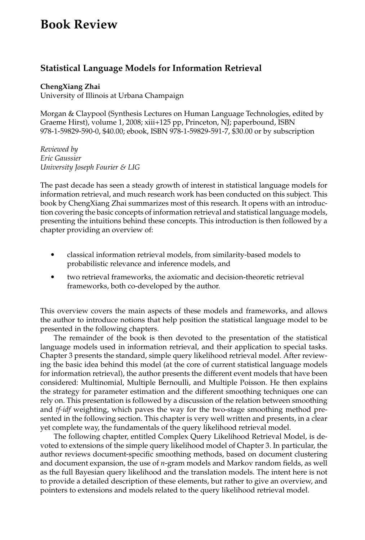## **Book Review**

## **Statistical Language Models for Information Retrieval**

## **ChengXiang Zhai**

University of Illinois at Urbana Champaign

Morgan & Claypool (Synthesis Lectures on Human Language Technologies, edited by Graeme Hirst), volume 1, 2008; xiii+125 pp, Princeton, NJ; paperbound, ISBN 978-1-59829-590-0, \$40.00; ebook, ISBN 978-1-59829-591-7, \$30.00 or by subscription

*Reviewed by Eric Gaussier University Joseph Fourier & LIG*

The past decade has seen a steady growth of interest in statistical language models for information retrieval, and much research work has been conducted on this subject. This book by ChengXiang Zhai summarizes most of this research. It opens with an introduction covering the basic concepts of information retrieval and statistical language models, presenting the intuitions behind these concepts. This introduction is then followed by a chapter providing an overview of:

- classical information retrieval models, from similarity-based models to probabilistic relevance and inference models, and
- two retrieval frameworks, the axiomatic and decision-theoretic retrieval frameworks, both co-developed by the author.

This overview covers the main aspects of these models and frameworks, and allows the author to introduce notions that help position the statistical language model to be presented in the following chapters.

The remainder of the book is then devoted to the presentation of the statistical language models used in information retrieval, and their application to special tasks. Chapter 3 presents the standard, simple query likelihood retrieval model. After reviewing the basic idea behind this model (at the core of current statistical language models for information retrieval), the author presents the different event models that have been considered: Multinomial, Multiple Bernoulli, and Multiple Poisson. He then explains the strategy for parameter estimation and the different smoothing techniques one can rely on. This presentation is followed by a discussion of the relation between smoothing and *tf-idf* weighting, which paves the way for the two-stage smoothing method presented in the following section. This chapter is very well written and presents, in a clear yet complete way, the fundamentals of the query likelihood retrieval model.

The following chapter, entitled Complex Query Likelihood Retrieval Model, is devoted to extensions of the simple query likelihood model of Chapter 3. In particular, the author reviews document-specific smoothing methods, based on document clustering and document expansion, the use of *n*-gram models and Markov random fields, as well as the full Bayesian query likelihood and the translation models. The intent here is not to provide a detailed description of these elements, but rather to give an overview, and pointers to extensions and models related to the query likelihood retrieval model.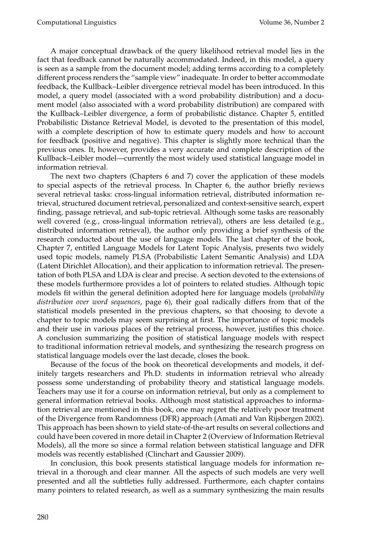A major conceptual drawback of the query likelihood retrieval model lies in the fact that feedback cannot be naturally accommodated. Indeed, in this model, a query is seen as a sample from the document model; adding terms according to a completely different process renders the "sample view" inadequate. In order to better accommodate feedback, the Kullback–Leibler divergence retrieval model has been introduced. In this model, a query model (associated with a word probability distribution) and a document model (also associated with a word probability distribution) are compared with the Kullback–Leibler divergence, a form of probabilistic distance. Chapter 5, entitled Probabilistic Distance Retrieval Model, is devoted to the presentation of this model, with a complete description of how to estimate query models and how to account for feedback (positive and negative). This chapter is slightly more technical than the previous ones. It, however, provides a very accurate and complete description of the Kullback–Leibler model—currently the most widely used statistical language model in information retrieval.

The next two chapters (Chapters 6 and 7) cover the application of these models to special aspects of the retrieval process. In Chapter 6, the author briefly reviews several retrieval tasks: cross-lingual information retrieval, distributed information retrieval, structured document retrieval, personalized and context-sensitive search, expert finding, passage retrieval, and sub-topic retrieval. Although some tasks are reasonably well covered (e.g., cross-lingual information retrieval), others are less detailed (e.g., distributed information retrieval), the author only providing a brief synthesis of the research conducted about the use of language models. The last chapter of the book, Chapter 7, entitled Language Models for Latent Topic Analysis, presents two widely used topic models, namely PLSA (Probabilistic Latent Semantic Analysis) and LDA (Latent Dirichlet Allocation), and their application to information retrieval. The presentation of both PLSA and LDA is clear and precise. A section devoted to the extensions of these models furthermore provides a lot of pointers to related studies. Although topic models fit within the general definition adopted here for language models (*probability distribution over word sequences*, page 6), their goal radically differs from that of the statistical models presented in the previous chapters, so that choosing to devote a chapter to topic models may seem surprising at first. The importance of topic models and their use in various places of the retrieval process, however, justifies this choice. A conclusion summarizing the position of statistical language models with respect to traditional information retrieval models, and synthesizing the research progress on statistical language models over the last decade, closes the book.

Because of the focus of the book on theoretical developments and models, it definitely targets researchers and Ph.D. students in information retrieval who already possess some understanding of probability theory and statistical language models. Teachers may use it for a course on information retrieval, but only as a complement to general information retrieval books. Although most statistical approaches to information retrieval are mentioned in this book, one may regret the relatively poor treatment of the Divergence from Randomness (DFR) approach (Amati and Van Rijsbergen 2002). This approach has been shown to yield state-of-the-art results on several collections and could have been covered in more detail in Chapter 2 (Overview of Information Retrieval Models), all the more so since a formal relation between statistical language and DFR models was recently established (Clinchart and Gaussier 2009).

In conclusion, this book presents statistical language models for information retrieval in a thorough and clear manner. All the aspects of such models are very well presented and all the subtleties fully addressed. Furthermore, each chapter contains many pointers to related research, as well as a summary synthesizing the main results